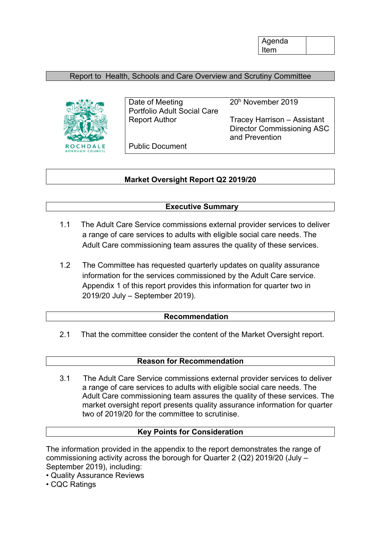Agenda Item

# Report to Health, Schools and Care Overview and Scrutiny Committee



Date of Meeting 20<sup>h</sup> November 2019 Portfolio Adult Social Care

Report Author Tracey Harrison – Assistant Director Commissioning ASC and Prevention

Public Document

## **Market Oversight Report Q2 2019/20**

## **Executive Summary**

- 1.1 The Adult Care Service commissions external provider services to deliver a range of care services to adults with eligible social care needs. The Adult Care commissioning team assures the quality of these services.
- 1.2 The Committee has requested quarterly updates on quality assurance information for the services commissioned by the Adult Care service. Appendix 1 of this report provides this information for quarter two in 2019/20 July – September 2019).

### **Recommendation**

2.1 That the committee consider the content of the Market Oversight report.

### **Reason for Recommendation**

3.1 The Adult Care Service commissions external provider services to deliver a range of care services to adults with eligible social care needs. The Adult Care commissioning team assures the quality of these services. The market oversight report presents quality assurance information for quarter two of 2019/20 for the committee to scrutinise.

#### **Key Points for Consideration**

The information provided in the appendix to the report demonstrates the range of commissioning activity across the borough for Quarter 2 (Q2) 2019/20 (July – September 2019), including:

- Quality Assurance Reviews
- CQC Ratings